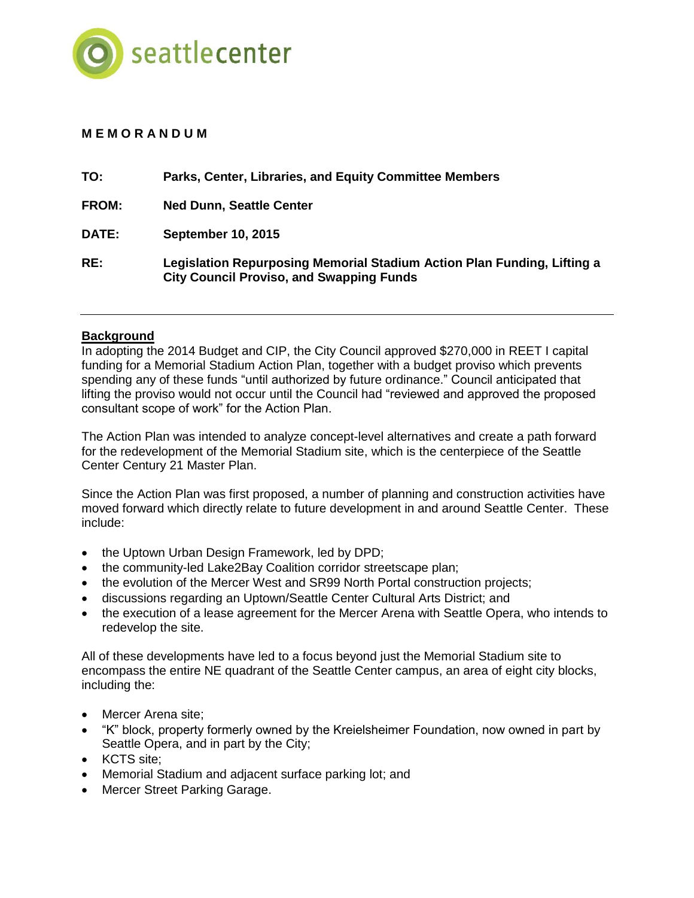

# **M E M O R A N D U M**

| TO:          | Parks, Center, Libraries, and Equity Committee Members                                                                     |
|--------------|----------------------------------------------------------------------------------------------------------------------------|
| FROM:        | <b>Ned Dunn, Seattle Center</b>                                                                                            |
| <b>DATE:</b> | <b>September 10, 2015</b>                                                                                                  |
| RE:          | Legislation Repurposing Memorial Stadium Action Plan Funding, Lifting a<br><b>City Council Proviso, and Swapping Funds</b> |

### **Background**

In adopting the 2014 Budget and CIP, the City Council approved \$270,000 in REET I capital funding for a Memorial Stadium Action Plan, together with a budget proviso which prevents spending any of these funds "until authorized by future ordinance." Council anticipated that lifting the proviso would not occur until the Council had "reviewed and approved the proposed consultant scope of work" for the Action Plan.

The Action Plan was intended to analyze concept-level alternatives and create a path forward for the redevelopment of the Memorial Stadium site, which is the centerpiece of the Seattle Center Century 21 Master Plan.

Since the Action Plan was first proposed, a number of planning and construction activities have moved forward which directly relate to future development in and around Seattle Center. These include:

- the Uptown Urban Design Framework, led by DPD;
- the community-led Lake2Bay Coalition corridor streetscape plan;
- the evolution of the Mercer West and SR99 North Portal construction projects;
- discussions regarding an Uptown/Seattle Center Cultural Arts District; and
- the execution of a lease agreement for the Mercer Arena with Seattle Opera, who intends to redevelop the site.

All of these developments have led to a focus beyond just the Memorial Stadium site to encompass the entire NE quadrant of the Seattle Center campus, an area of eight city blocks, including the:

- Mercer Arena site;
- "K" block, property formerly owned by the Kreielsheimer Foundation, now owned in part by Seattle Opera, and in part by the City;
- KCTS site:
- Memorial Stadium and adjacent surface parking lot; and
- Mercer Street Parking Garage.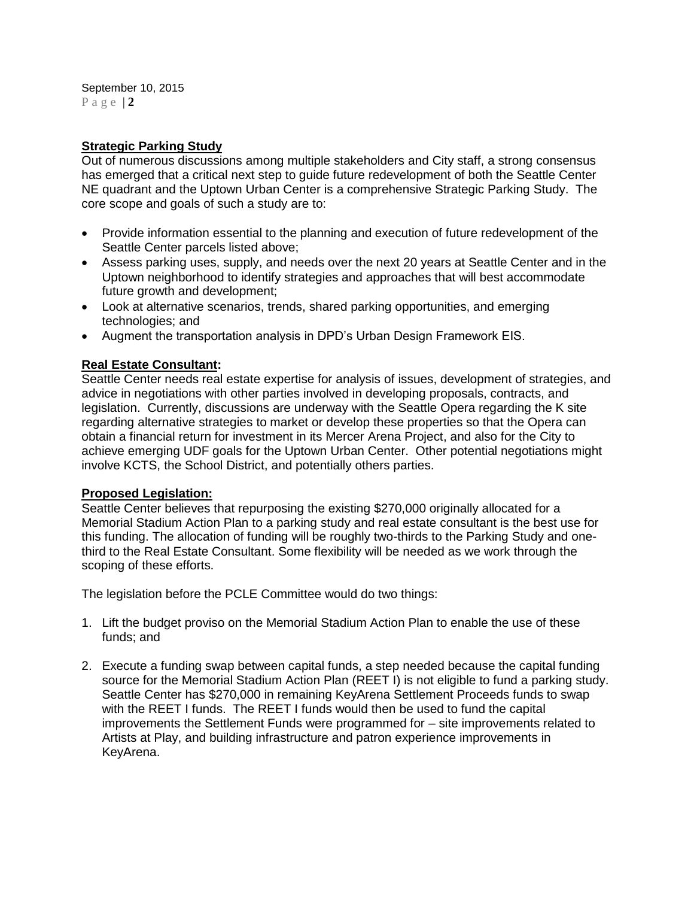September 10, 2015 P a g e | **2**

### **Strategic Parking Study**

Out of numerous discussions among multiple stakeholders and City staff, a strong consensus has emerged that a critical next step to guide future redevelopment of both the Seattle Center NE quadrant and the Uptown Urban Center is a comprehensive Strategic Parking Study. The core scope and goals of such a study are to:

- Provide information essential to the planning and execution of future redevelopment of the Seattle Center parcels listed above;
- Assess parking uses, supply, and needs over the next 20 years at Seattle Center and in the Uptown neighborhood to identify strategies and approaches that will best accommodate future growth and development;
- Look at alternative scenarios, trends, shared parking opportunities, and emerging technologies; and
- Augment the transportation analysis in DPD's Urban Design Framework EIS.

## **Real Estate Consultant:**

Seattle Center needs real estate expertise for analysis of issues, development of strategies, and advice in negotiations with other parties involved in developing proposals, contracts, and legislation. Currently, discussions are underway with the Seattle Opera regarding the K site regarding alternative strategies to market or develop these properties so that the Opera can obtain a financial return for investment in its Mercer Arena Project, and also for the City to achieve emerging UDF goals for the Uptown Urban Center. Other potential negotiations might involve KCTS, the School District, and potentially others parties.

### **Proposed Legislation:**

Seattle Center believes that repurposing the existing \$270,000 originally allocated for a Memorial Stadium Action Plan to a parking study and real estate consultant is the best use for this funding. The allocation of funding will be roughly two-thirds to the Parking Study and onethird to the Real Estate Consultant. Some flexibility will be needed as we work through the scoping of these efforts.

The legislation before the PCLE Committee would do two things:

- 1. Lift the budget proviso on the Memorial Stadium Action Plan to enable the use of these funds; and
- 2. Execute a funding swap between capital funds, a step needed because the capital funding source for the Memorial Stadium Action Plan (REET I) is not eligible to fund a parking study. Seattle Center has \$270,000 in remaining KeyArena Settlement Proceeds funds to swap with the REET I funds. The REET I funds would then be used to fund the capital improvements the Settlement Funds were programmed for – site improvements related to Artists at Play, and building infrastructure and patron experience improvements in KeyArena.